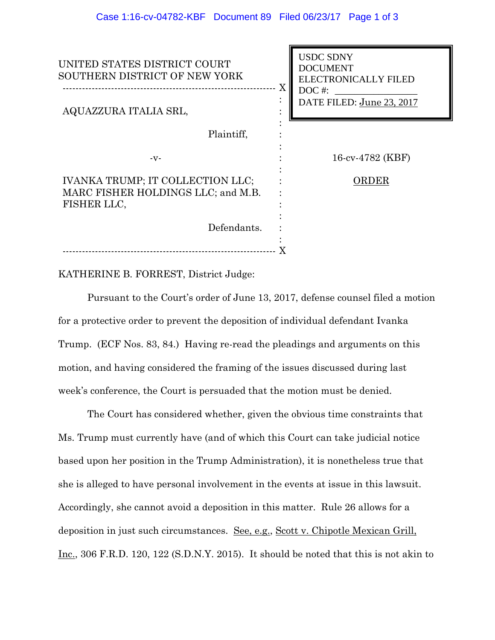| UNITED STATES DISTRICT COURT<br>SOUTHERN DISTRICT OF NEW YORK<br>Χ                    | <b>USDC SDNY</b><br><b>DOCUMENT</b><br><b>ELECTRONICALLY FILED</b><br>$DOC$ #: |
|---------------------------------------------------------------------------------------|--------------------------------------------------------------------------------|
| AQUAZZURA ITALIA SRL,                                                                 | DATE FILED: June 23, 2017                                                      |
| Plaintiff,                                                                            |                                                                                |
| $-V -$                                                                                | 16-cv-4782 (KBF)                                                               |
| IVANKA TRUMP; IT COLLECTION LLC;<br>MARC FISHER HOLDINGS LLC; and M.B.<br>FISHER LLC, | ORDER                                                                          |
| Defendants.                                                                           |                                                                                |
|                                                                                       |                                                                                |

KATHERINE B. FORREST, District Judge:

 Pursuant to the Court's order of June 13, 2017, defense counsel filed a motion for a protective order to prevent the deposition of individual defendant Ivanka Trump. (ECF Nos. 83, 84.) Having re-read the pleadings and arguments on this motion, and having considered the framing of the issues discussed during last week's conference, the Court is persuaded that the motion must be denied.

The Court has considered whether, given the obvious time constraints that Ms. Trump must currently have (and of which this Court can take judicial notice based upon her position in the Trump Administration), it is nonetheless true that she is alleged to have personal involvement in the events at issue in this lawsuit. Accordingly, she cannot avoid a deposition in this matter. Rule 26 allows for a deposition in just such circumstances. See, e.g., Scott v. Chipotle Mexican Grill, Inc., 306 F.R.D. 120, 122 (S.D.N.Y. 2015). It should be noted that this is not akin to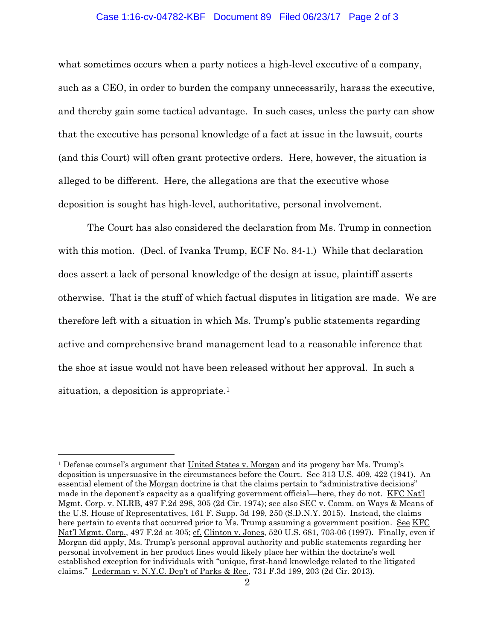## Case 1:16-cv-04782-KBF Document 89 Filed 06/23/17 Page 2 of 3

what sometimes occurs when a party notices a high-level executive of a company, such as a CEO, in order to burden the company unnecessarily, harass the executive, and thereby gain some tactical advantage. In such cases, unless the party can show that the executive has personal knowledge of a fact at issue in the lawsuit, courts (and this Court) will often grant protective orders. Here, however, the situation is alleged to be different. Here, the allegations are that the executive whose deposition is sought has high-level, authoritative, personal involvement.

The Court has also considered the declaration from Ms. Trump in connection with this motion. (Decl. of Ivanka Trump, ECF No. 84-1.) While that declaration does assert a lack of personal knowledge of the design at issue, plaintiff asserts otherwise. That is the stuff of which factual disputes in litigation are made. We are therefore left with a situation in which Ms. Trump's public statements regarding active and comprehensive brand management lead to a reasonable inference that the shoe at issue would not have been released without her approval. In such a situation, a deposition is appropriate.<sup>1</sup>

 $\overline{a}$ 

<sup>1</sup> Defense counsel's argument that United States v. Morgan and its progeny bar Ms. Trump's deposition is unpersuasive in the circumstances before the Court. See 313 U.S. 409, 422 (1941). An essential element of the Morgan doctrine is that the claims pertain to "administrative decisions" made in the deponent's capacity as a qualifying government official—here, they do not. KFC Nat'l Mgmt. Corp. v. NLRB, 497 F.2d 298, 305 (2d Cir. 1974); see also SEC v. Comm. on Ways & Means of the U.S. House of Representatives, 161 F. Supp. 3d 199, 250 (S.D.N.Y. 2015). Instead, the claims here pertain to events that occurred prior to Ms. Trump assuming a government position. See KFC Nat'l Mgmt. Corp., 497 F.2d at 305; cf. Clinton v. Jones, 520 U.S. 681, 703-06 (1997). Finally, even if Morgan did apply, Ms. Trump's personal approval authority and public statements regarding her personal involvement in her product lines would likely place her within the doctrine's well established exception for individuals with "unique, first-hand knowledge related to the litigated claims." Lederman v. N.Y.C. Dep't of Parks & Rec., 731 F.3d 199, 203 (2d Cir. 2013).